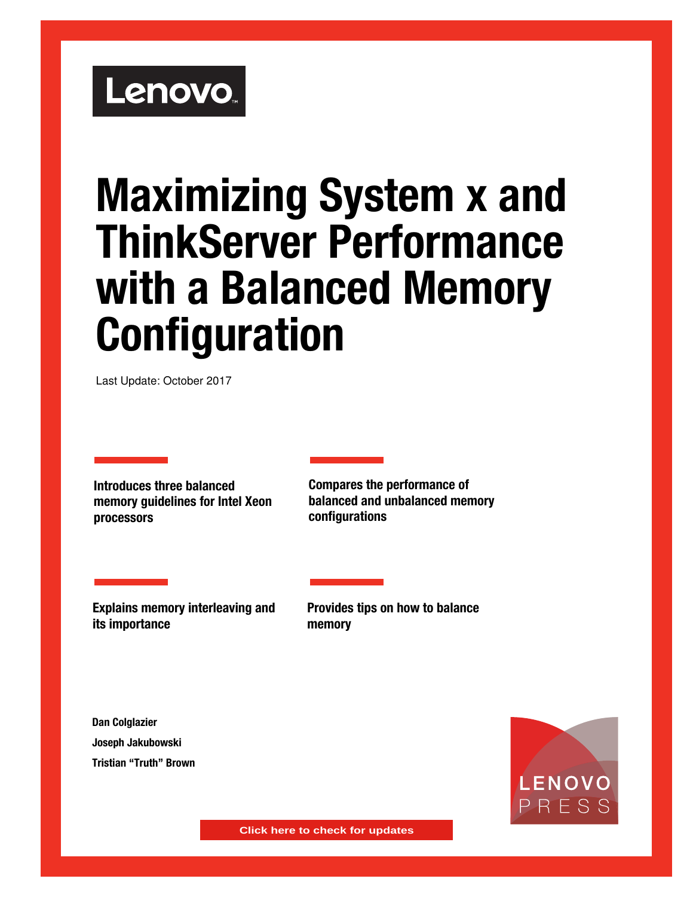# Lenovo.

# **Maximizing System x and ThinkServer Performance with a Balanced Memory Configuration**

Last Update: October 2017

**Introduces three balanced memory guidelines for Intel Xeon processors**

**Compares the performance of balanced and unbalanced memory configurations**

**Explains memory interleaving and its importance** 

**Provides tips on how to balance memory**

**Dan Colglazier Joseph Jakubowski Tristian "Truth" Brown**



**Click here to check for updates**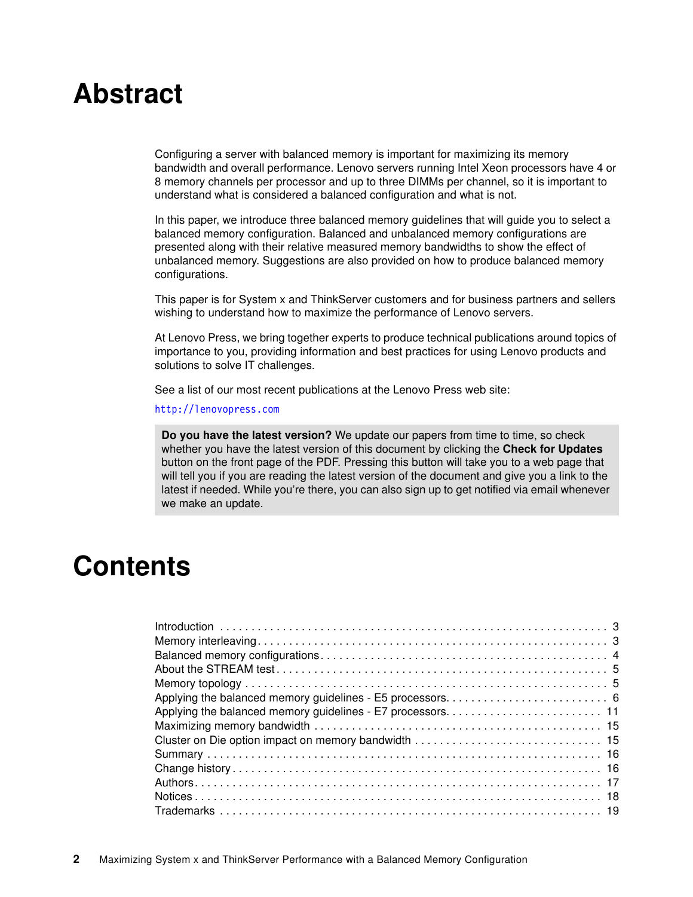# **Abstract**

Configuring a server with balanced memory is important for maximizing its memory bandwidth and overall performance. Lenovo servers running Intel Xeon processors have 4 or 8 memory channels per processor and up to three DIMMs per channel, so it is important to understand what is considered a balanced configuration and what is not.

In this paper, we introduce three balanced memory guidelines that will guide you to select a balanced memory configuration. Balanced and unbalanced memory configurations are presented along with their relative measured memory bandwidths to show the effect of unbalanced memory. Suggestions are also provided on how to produce balanced memory configurations.

This paper is for System x and ThinkServer customers and for business partners and sellers wishing to understand how to maximize the performance of Lenovo servers.

At Lenovo Press, we bring together experts to produce technical publications around topics of importance to you, providing information and best practices for using Lenovo products and solutions to solve IT challenges.

See a list of our most recent publications at the Lenovo Press web site:

#### <http://lenovopress.com>

**Do you have the latest version?** We update our papers from time to time, so check whether you have the latest version of this document by clicking the **Check for Updates** button on the front page of the PDF. Pressing this button will take you to a web page that will tell you if you are reading the latest version of the document and give you a link to the latest if needed. While you're there, you can also sign up to get notified via email whenever we make an update.

## **Contents**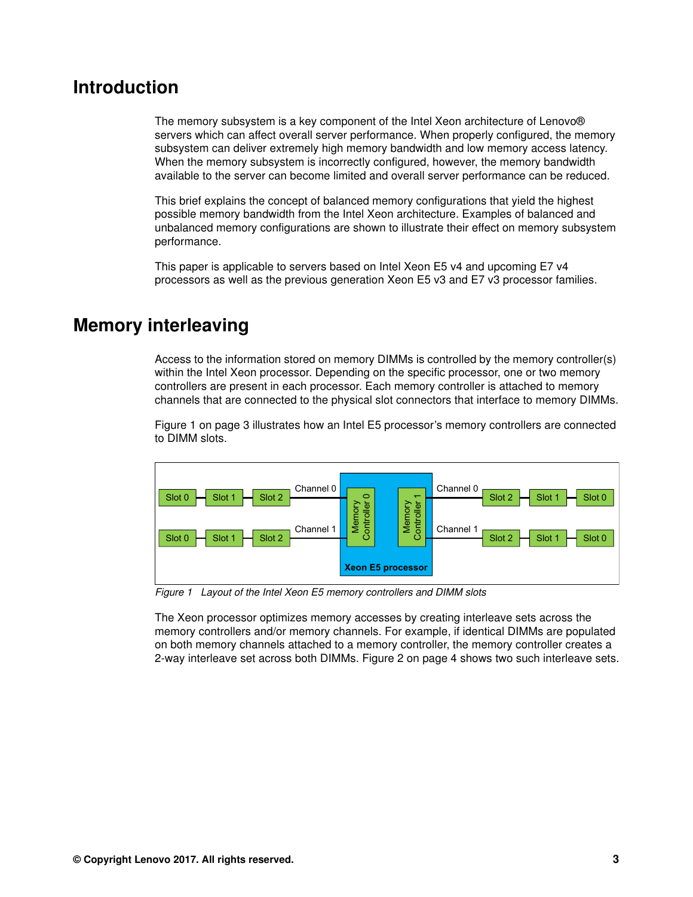## <span id="page-2-0"></span>**Introduction**

The memory subsystem is a key component of the Intel Xeon architecture of Lenovo® servers which can affect overall server performance. When properly configured, the memory subsystem can deliver extremely high memory bandwidth and low memory access latency. When the memory subsystem is incorrectly configured, however, the memory bandwidth available to the server can become limited and overall server performance can be reduced.

This brief explains the concept of balanced memory configurations that yield the highest possible memory bandwidth from the Intel Xeon architecture. Examples of balanced and unbalanced memory configurations are shown to illustrate their effect on memory subsystem performance.

This paper is applicable to servers based on Intel Xeon E5 v4 and upcoming E7 v4 processors as well as the previous generation Xeon E5 v3 and E7 v3 processor families.

## <span id="page-2-1"></span>**Memory interleaving**

Access to the information stored on memory DIMMs is controlled by the memory controller(s) within the Intel Xeon processor. Depending on the specific processor, one or two memory controllers are present in each processor. Each memory controller is attached to memory channels that are connected to the physical slot connectors that interface to memory DIMMs.

[Figure 1 on page 3](#page-2-2) illustrates how an Intel E5 processor's memory controllers are connected to DIMM slots.



<span id="page-2-2"></span>*Figure 1 Layout of the Intel Xeon E5 memory controllers and DIMM slots*

The Xeon processor optimizes memory accesses by creating interleave sets across the memory controllers and/or memory channels. For example, if identical DIMMs are populated on both memory channels attached to a memory controller, the memory controller creates a 2-way interleave set across both DIMMs. [Figure 2 on page 4](#page-3-1) shows two such interleave sets.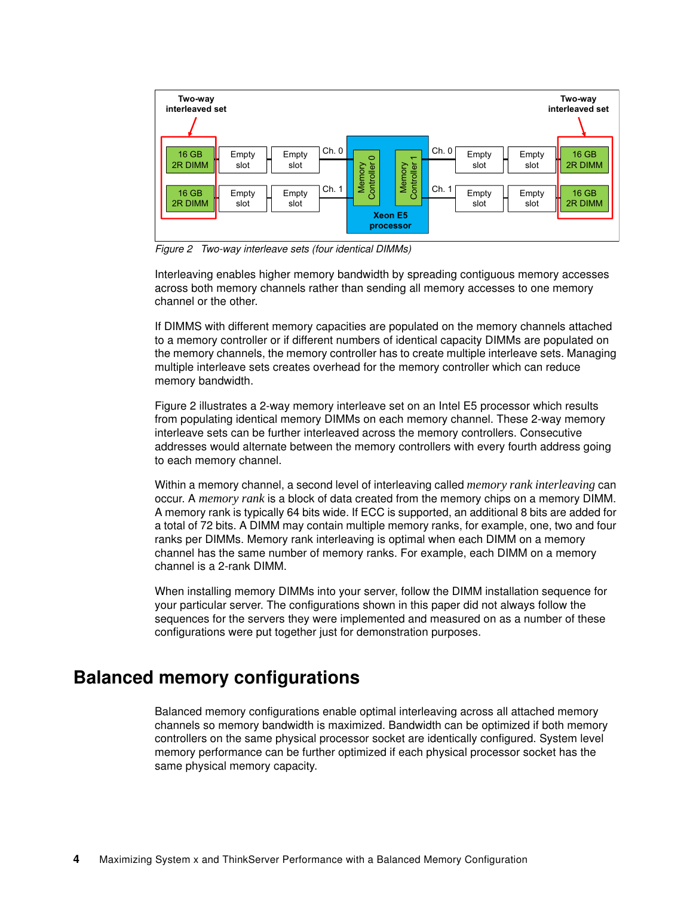

<span id="page-3-1"></span>*Figure 2 Two-way interleave sets (four identical DIMMs)*

Interleaving enables higher memory bandwidth by spreading contiguous memory accesses across both memory channels rather than sending all memory accesses to one memory channel or the other.

If DIMMS with different memory capacities are populated on the memory channels attached to a memory controller or if different numbers of identical capacity DIMMs are populated on the memory channels, the memory controller has to create multiple interleave sets. Managing multiple interleave sets creates overhead for the memory controller which can reduce memory bandwidth.

[Figure 2](#page-3-1) illustrates a 2-way memory interleave set on an Intel E5 processor which results from populating identical memory DIMMs on each memory channel. These 2-way memory interleave sets can be further interleaved across the memory controllers. Consecutive addresses would alternate between the memory controllers with every fourth address going to each memory channel.

Within a memory channel, a second level of interleaving called *memory rank interleaving* can occur. A *memory rank* is a block of data created from the memory chips on a memory DIMM. A memory rank is typically 64 bits wide. If ECC is supported, an additional 8 bits are added for a total of 72 bits. A DIMM may contain multiple memory ranks, for example, one, two and four ranks per DIMMs. Memory rank interleaving is optimal when each DIMM on a memory channel has the same number of memory ranks. For example, each DIMM on a memory channel is a 2-rank DIMM.

When installing memory DIMMs into your server, follow the DIMM installation sequence for your particular server. The configurations shown in this paper did not always follow the sequences for the servers they were implemented and measured on as a number of these configurations were put together just for demonstration purposes.

## <span id="page-3-0"></span>**Balanced memory configurations**

Balanced memory configurations enable optimal interleaving across all attached memory channels so memory bandwidth is maximized. Bandwidth can be optimized if both memory controllers on the same physical processor socket are identically configured. System level memory performance can be further optimized if each physical processor socket has the same physical memory capacity.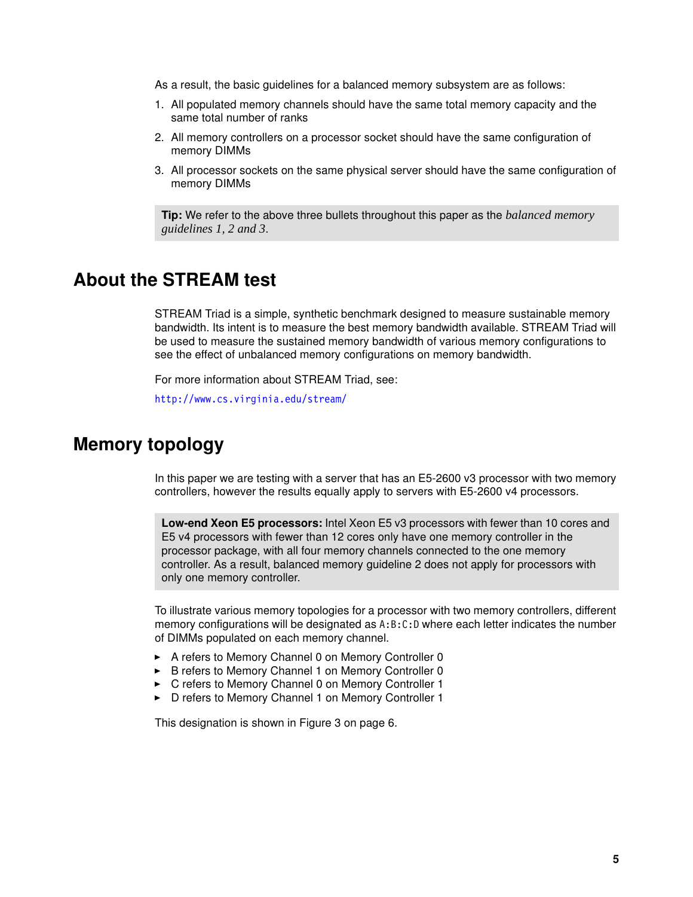As a result, the basic guidelines for a balanced memory subsystem are as follows:

- 1. All populated memory channels should have the same total memory capacity and the same total number of ranks
- 2. All memory controllers on a processor socket should have the same configuration of memory DIMMs
- 3. All processor sockets on the same physical server should have the same configuration of memory DIMMs

**Tip:** We refer to the above three bullets throughout this paper as the *balanced memory guidelines 1, 2 and 3*.

## <span id="page-4-0"></span>**About the STREAM test**

STREAM Triad is a simple, synthetic benchmark designed to measure sustainable memory bandwidth. Its intent is to measure the best memory bandwidth available. STREAM Triad will be used to measure the sustained memory bandwidth of various memory configurations to see the effect of unbalanced memory configurations on memory bandwidth.

For more information about STREAM Triad, see:

<http://www.cs.virginia.edu/stream/>

## <span id="page-4-1"></span>**Memory topology**

In this paper we are testing with a server that has an E5-2600 v3 processor with two memory controllers, however the results equally apply to servers with E5-2600 v4 processors.

**Low-end Xeon E5 processors:** Intel Xeon E5 v3 processors with fewer than 10 cores and E5 v4 processors with fewer than 12 cores only have one memory controller in the processor package, with all four memory channels connected to the one memory controller. As a result, balanced memory guideline 2 does not apply for processors with only one memory controller.

To illustrate various memory topologies for a processor with two memory controllers, different memory configurations will be designated as A:B:C:D where each letter indicates the number of DIMMs populated on each memory channel.

- ► A refers to Memory Channel 0 on Memory Controller 0
- ► B refers to Memory Channel 1 on Memory Controller 0
- -C refers to Memory Channel 0 on Memory Controller 1
- ► D refers to Memory Channel 1 on Memory Controller 1

This designation is shown in [Figure 3 on page 6](#page-5-1).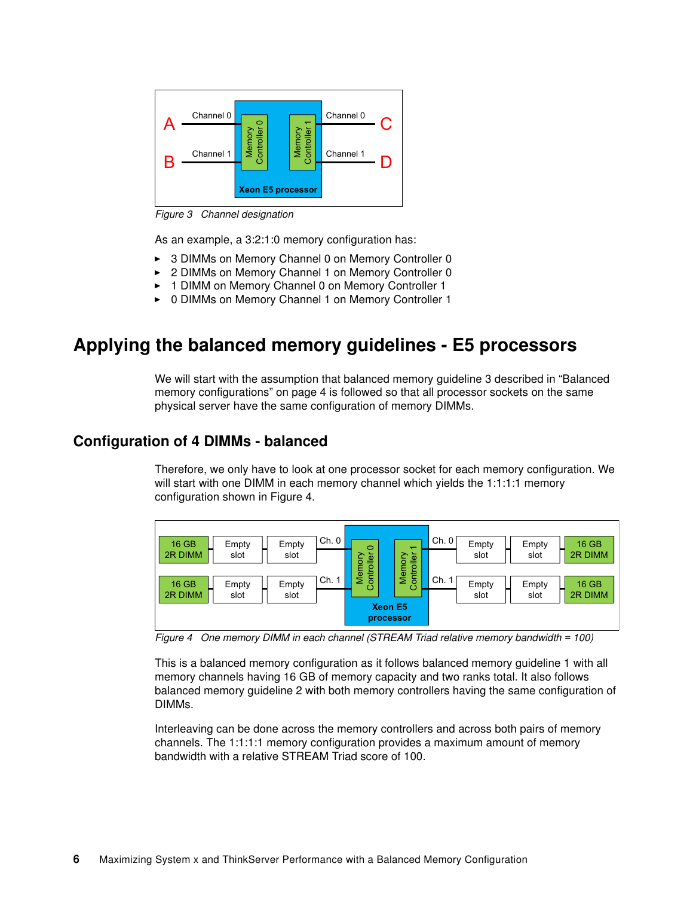

<span id="page-5-1"></span>*Figure 3 Channel designation*

As an example, a 3:2:1:0 memory configuration has:

- ► 3 DIMMs on Memory Channel 0 on Memory Controller 0
- -2 DIMMs on Memory Channel 1 on Memory Controller 0
- -1 DIMM on Memory Channel 0 on Memory Controller 1
- -0 DIMMs on Memory Channel 1 on Memory Controller 1

## <span id="page-5-0"></span>**Applying the balanced memory guidelines - E5 processors**

We will start with the assumption that balanced memory guideline 3 described in ["Balanced](#page-3-0)  [memory configurations" on page 4](#page-3-0) is followed so that all processor sockets on the same physical server have the same configuration of memory DIMMs.

#### **Configuration of 4 DIMMs - balanced**

Therefore, we only have to look at one processor socket for each memory configuration. We will start with one DIMM in each memory channel which yields the 1:1:1:1 memory configuration shown in [Figure 4.](#page-5-2)



<span id="page-5-2"></span>*Figure 4 One memory DIMM in each channel (STREAM Triad relative memory bandwidth = 100)*

This is a balanced memory configuration as it follows balanced memory guideline 1 with all memory channels having 16 GB of memory capacity and two ranks total. It also follows balanced memory guideline 2 with both memory controllers having the same configuration of DIMMs.

Interleaving can be done across the memory controllers and across both pairs of memory channels. The 1:1:1:1 memory configuration provides a maximum amount of memory bandwidth with a relative STREAM Triad score of 100.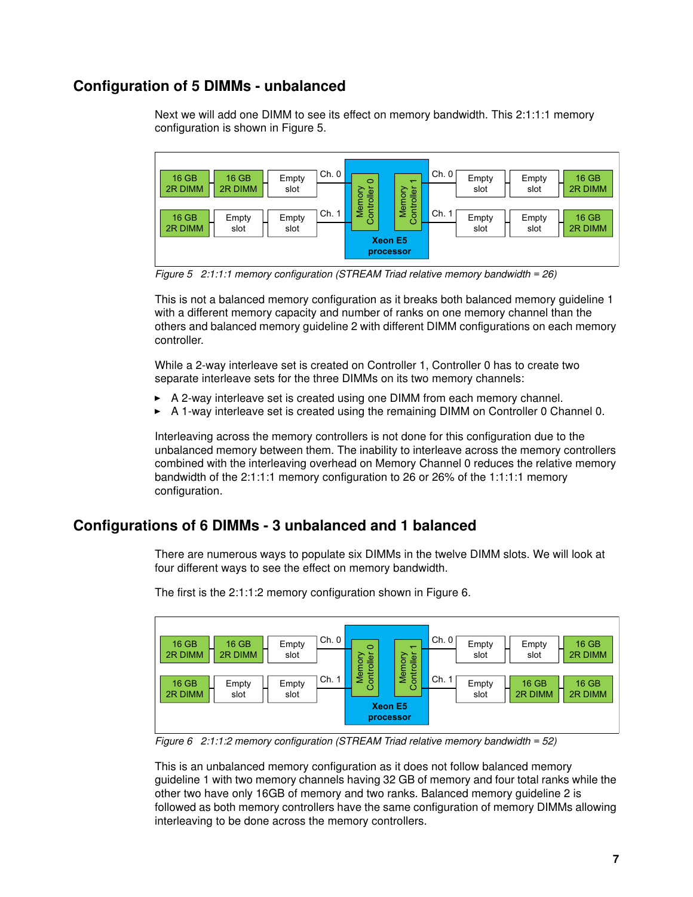#### **Configuration of 5 DIMMs - unbalanced**

Next we will add one DIMM to see its effect on memory bandwidth. This 2:1:1:1 memory configuration is shown in [Figure 5.](#page-6-0)



<span id="page-6-0"></span>*Figure 5 2:1:1:1 memory configuration (STREAM Triad relative memory bandwidth = 26)*

This is not a balanced memory configuration as it breaks both balanced memory guideline 1 with a different memory capacity and number of ranks on one memory channel than the others and balanced memory guideline 2 with different DIMM configurations on each memory controller.

While a 2-way interleave set is created on Controller 1, Controller 0 has to create two separate interleave sets for the three DIMMs on its two memory channels:

- -A 2-way interleave set is created using one DIMM from each memory channel.
- -A 1-way interleave set is created using the remaining DIMM on Controller 0 Channel 0.

Interleaving across the memory controllers is not done for this configuration due to the unbalanced memory between them. The inability to interleave across the memory controllers combined with the interleaving overhead on Memory Channel 0 reduces the relative memory bandwidth of the 2:1:1:1 memory configuration to 26 or 26% of the 1:1:1:1 memory configuration.

#### **Configurations of 6 DIMMs - 3 unbalanced and 1 balanced**

There are numerous ways to populate six DIMMs in the twelve DIMM slots. We will look at four different ways to see the effect on memory bandwidth.



The first is the 2:1:1:2 memory configuration shown in [Figure 6](#page-6-1).

<span id="page-6-1"></span>*Figure 6 2:1:1:2 memory configuration (STREAM Triad relative memory bandwidth = 52)*

This is an unbalanced memory configuration as it does not follow balanced memory guideline 1 with two memory channels having 32 GB of memory and four total ranks while the other two have only 16GB of memory and two ranks. Balanced memory guideline 2 is followed as both memory controllers have the same configuration of memory DIMMs allowing interleaving to be done across the memory controllers.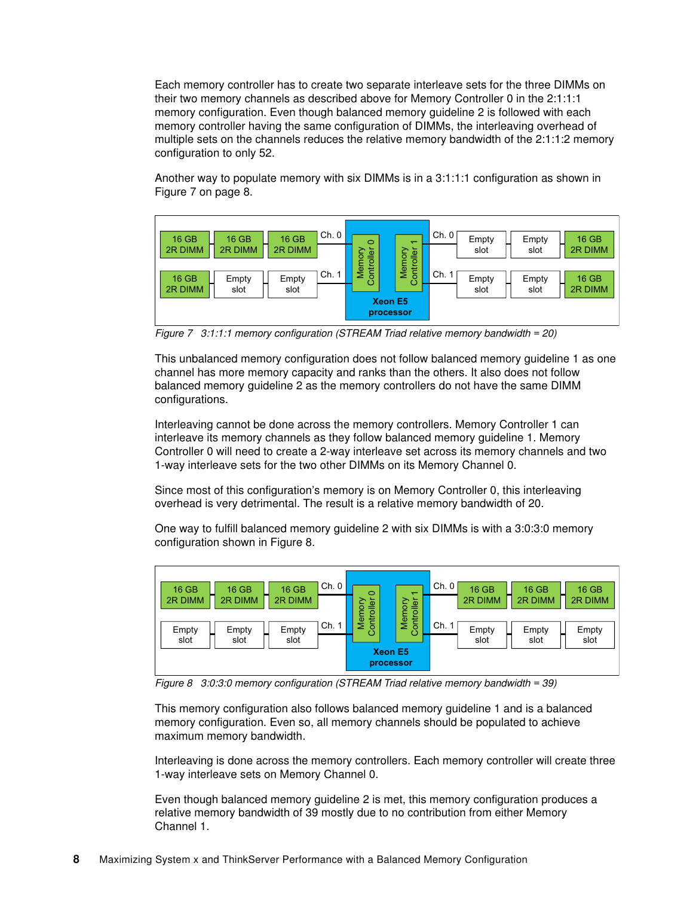Each memory controller has to create two separate interleave sets for the three DIMMs on their two memory channels as described above for Memory Controller 0 in the 2:1:1:1 memory configuration. Even though balanced memory guideline 2 is followed with each memory controller having the same configuration of DIMMs, the interleaving overhead of multiple sets on the channels reduces the relative memory bandwidth of the 2:1:1:2 memory configuration to only 52.

Another way to populate memory with six DIMMs is in a 3:1:1:1 configuration as shown in [Figure 7 on page 8.](#page-7-0)



<span id="page-7-0"></span>*Figure 7 3:1:1:1 memory configuration (STREAM Triad relative memory bandwidth = 20)*

This unbalanced memory configuration does not follow balanced memory guideline 1 as one channel has more memory capacity and ranks than the others. It also does not follow balanced memory guideline 2 as the memory controllers do not have the same DIMM configurations.

Interleaving cannot be done across the memory controllers. Memory Controller 1 can interleave its memory channels as they follow balanced memory guideline 1. Memory Controller 0 will need to create a 2-way interleave set across its memory channels and two 1-way interleave sets for the two other DIMMs on its Memory Channel 0.

Since most of this configuration's memory is on Memory Controller 0, this interleaving overhead is very detrimental. The result is a relative memory bandwidth of 20.

One way to fulfill balanced memory guideline 2 with six DIMMs is with a 3:0:3:0 memory configuration shown in [Figure 8.](#page-7-1)



<span id="page-7-1"></span>*Figure 8 3:0:3:0 memory configuration (STREAM Triad relative memory bandwidth = 39)*

This memory configuration also follows balanced memory guideline 1 and is a balanced memory configuration. Even so, all memory channels should be populated to achieve maximum memory bandwidth.

Interleaving is done across the memory controllers. Each memory controller will create three 1-way interleave sets on Memory Channel 0.

Even though balanced memory guideline 2 is met, this memory configuration produces a relative memory bandwidth of 39 mostly due to no contribution from either Memory Channel 1.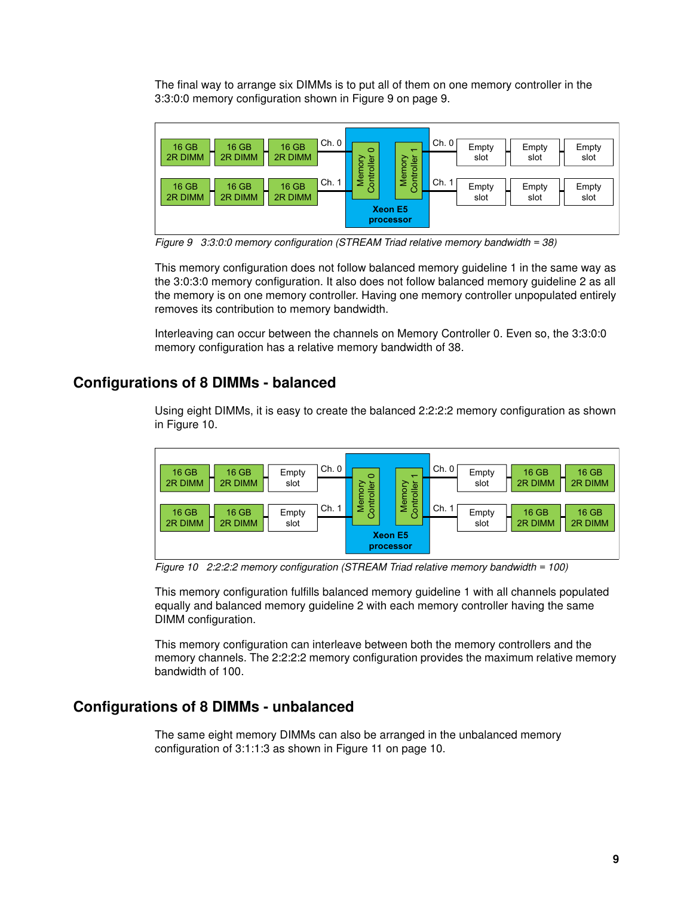The final way to arrange six DIMMs is to put all of them on one memory controller in the 3:3:0:0 memory configuration shown in [Figure 9 on page 9](#page-8-0).



<span id="page-8-0"></span>*Figure 9 3:3:0:0 memory configuration (STREAM Triad relative memory bandwidth = 38)*

This memory configuration does not follow balanced memory guideline 1 in the same way as the 3:0:3:0 memory configuration. It also does not follow balanced memory guideline 2 as all the memory is on one memory controller. Having one memory controller unpopulated entirely removes its contribution to memory bandwidth.

Interleaving can occur between the channels on Memory Controller 0. Even so, the 3:3:0:0 memory configuration has a relative memory bandwidth of 38.

#### **Configurations of 8 DIMMs - balanced**

Using eight DIMMs, it is easy to create the balanced 2:2:2:2 memory configuration as shown in [Figure 10.](#page-8-1)



<span id="page-8-1"></span>*Figure 10 2:2:2:2 memory configuration (STREAM Triad relative memory bandwidth = 100)*

This memory configuration fulfills balanced memory guideline 1 with all channels populated equally and balanced memory guideline 2 with each memory controller having the same DIMM configuration.

This memory configuration can interleave between both the memory controllers and the memory channels. The 2:2:2:2 memory configuration provides the maximum relative memory bandwidth of 100.

#### **Configurations of 8 DIMMs - unbalanced**

The same eight memory DIMMs can also be arranged in the unbalanced memory configuration of 3:1:1:3 as shown in [Figure 11 on page 10](#page-9-0).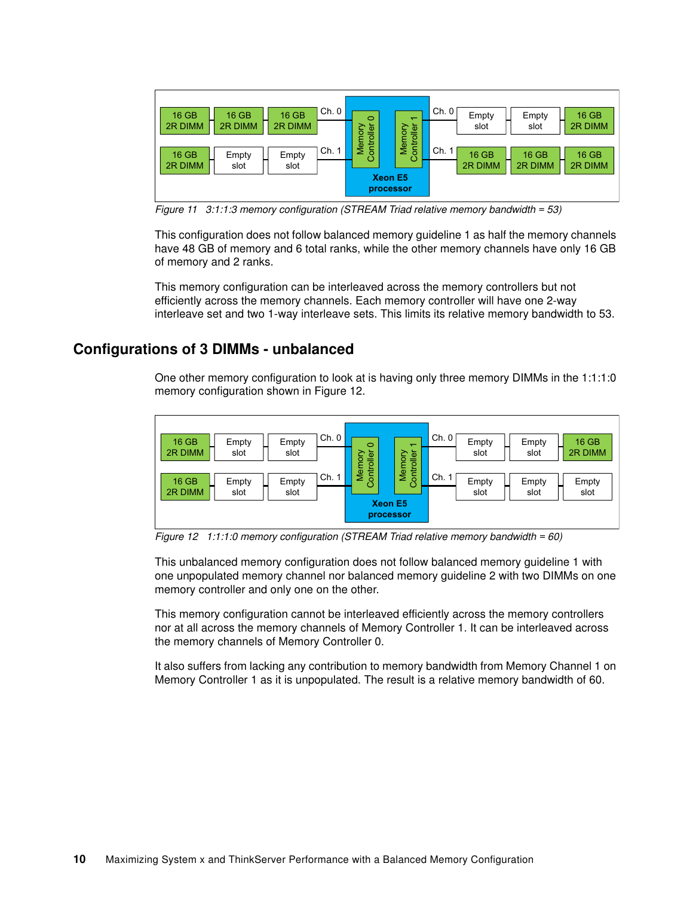

<span id="page-9-0"></span>*Figure 11 3:1:1:3 memory configuration (STREAM Triad relative memory bandwidth = 53)*

This configuration does not follow balanced memory guideline 1 as half the memory channels have 48 GB of memory and 6 total ranks, while the other memory channels have only 16 GB of memory and 2 ranks.

This memory configuration can be interleaved across the memory controllers but not efficiently across the memory channels. Each memory controller will have one 2-way interleave set and two 1-way interleave sets. This limits its relative memory bandwidth to 53.

#### **Configurations of 3 DIMMs - unbalanced**

One other memory configuration to look at is having only three memory DIMMs in the 1:1:1:0 memory configuration shown in [Figure 12](#page-9-1).



<span id="page-9-1"></span>*Figure 12 1:1:1:0 memory configuration (STREAM Triad relative memory bandwidth = 60)*

This unbalanced memory configuration does not follow balanced memory guideline 1 with one unpopulated memory channel nor balanced memory guideline 2 with two DIMMs on one memory controller and only one on the other.

This memory configuration cannot be interleaved efficiently across the memory controllers nor at all across the memory channels of Memory Controller 1. It can be interleaved across the memory channels of Memory Controller 0.

It also suffers from lacking any contribution to memory bandwidth from Memory Channel 1 on Memory Controller 1 as it is unpopulated. The result is a relative memory bandwidth of 60.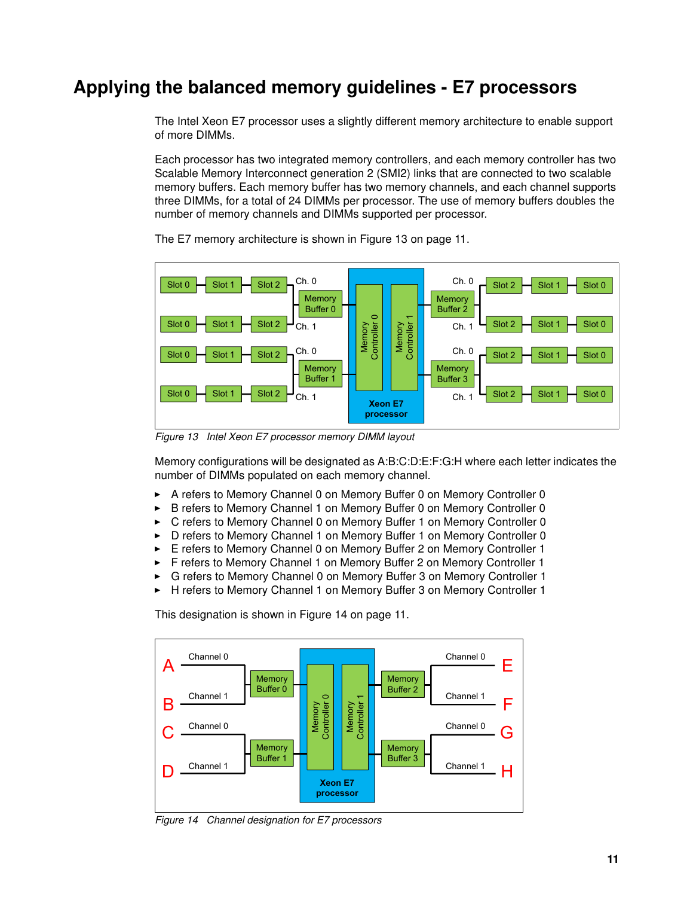## <span id="page-10-0"></span>**Applying the balanced memory guidelines - E7 processors**

The Intel Xeon E7 processor uses a slightly different memory architecture to enable support of more DIMMs.

Each processor has two integrated memory controllers, and each memory controller has two Scalable Memory Interconnect generation 2 (SMI2) links that are connected to two scalable memory buffers. Each memory buffer has two memory channels, and each channel supports three DIMMs, for a total of 24 DIMMs per processor. The use of memory buffers doubles the number of memory channels and DIMMs supported per processor.



The E7 memory architecture is shown in [Figure 13 on page 11](#page-10-1).

<span id="page-10-1"></span>*Figure 13 Intel Xeon E7 processor memory DIMM layout*

Memory configurations will be designated as A:B:C:D:E:F:G:H where each letter indicates the number of DIMMs populated on each memory channel.

- -A refers to Memory Channel 0 on Memory Buffer 0 on Memory Controller 0
- -B refers to Memory Channel 1 on Memory Buffer 0 on Memory Controller 0
- -C refers to Memory Channel 0 on Memory Buffer 1 on Memory Controller 0
- -D refers to Memory Channel 1 on Memory Buffer 1 on Memory Controller 0
- -E refers to Memory Channel 0 on Memory Buffer 2 on Memory Controller 1
- -F refers to Memory Channel 1 on Memory Buffer 2 on Memory Controller 1
- -G refers to Memory Channel 0 on Memory Buffer 3 on Memory Controller 1
- -H refers to Memory Channel 1 on Memory Buffer 3 on Memory Controller 1

This designation is shown in [Figure 14 on page 11.](#page-10-2)



<span id="page-10-2"></span>*Figure 14 Channel designation for E7 processors*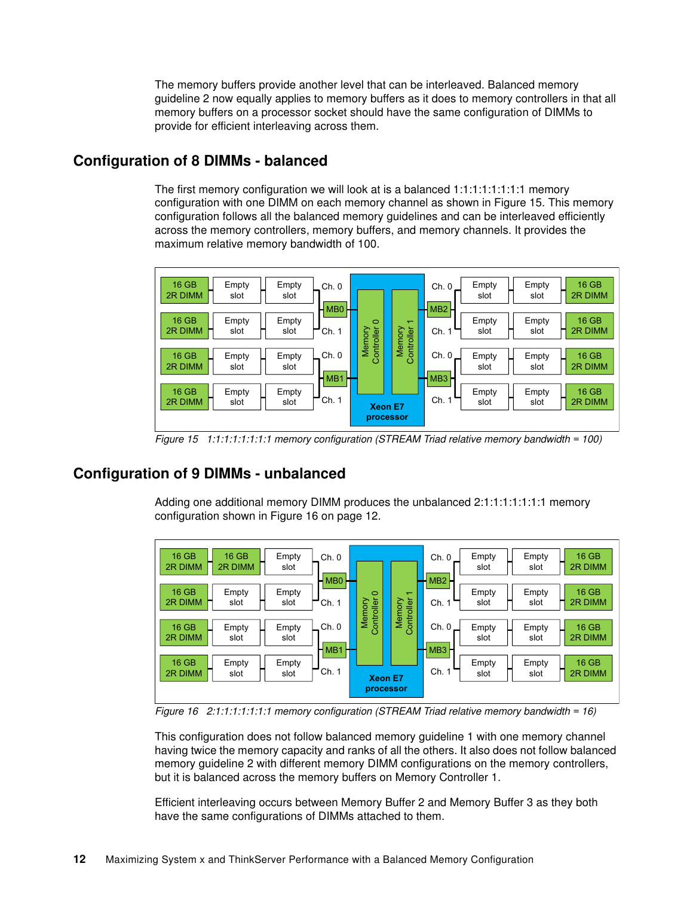The memory buffers provide another level that can be interleaved. Balanced memory guideline 2 now equally applies to memory buffers as it does to memory controllers in that all memory buffers on a processor socket should have the same configuration of DIMMs to provide for efficient interleaving across them.

#### **Configuration of 8 DIMMs - balanced**

The first memory configuration we will look at is a balanced 1:1:1:1:1:1:1:1 memory configuration with one DIMM on each memory channel as shown in [Figure 15](#page-11-0). This memory configuration follows all the balanced memory guidelines and can be interleaved efficiently across the memory controllers, memory buffers, and memory channels. It provides the maximum relative memory bandwidth of 100.



<span id="page-11-0"></span>*Figure 15 1:1:1:1:1:1:1:1 memory configuration (STREAM Triad relative memory bandwidth = 100)*

#### **Configuration of 9 DIMMs - unbalanced**

Adding one additional memory DIMM produces the unbalanced 2:1:1:1:1:1:1:1 memory configuration shown in [Figure 16 on page 12](#page-11-1).



<span id="page-11-1"></span>*Figure 16 2:1:1:1:1:1:1:1 memory configuration (STREAM Triad relative memory bandwidth = 16)*

This configuration does not follow balanced memory guideline 1 with one memory channel having twice the memory capacity and ranks of all the others. It also does not follow balanced memory guideline 2 with different memory DIMM configurations on the memory controllers, but it is balanced across the memory buffers on Memory Controller 1.

Efficient interleaving occurs between Memory Buffer 2 and Memory Buffer 3 as they both have the same configurations of DIMMs attached to them.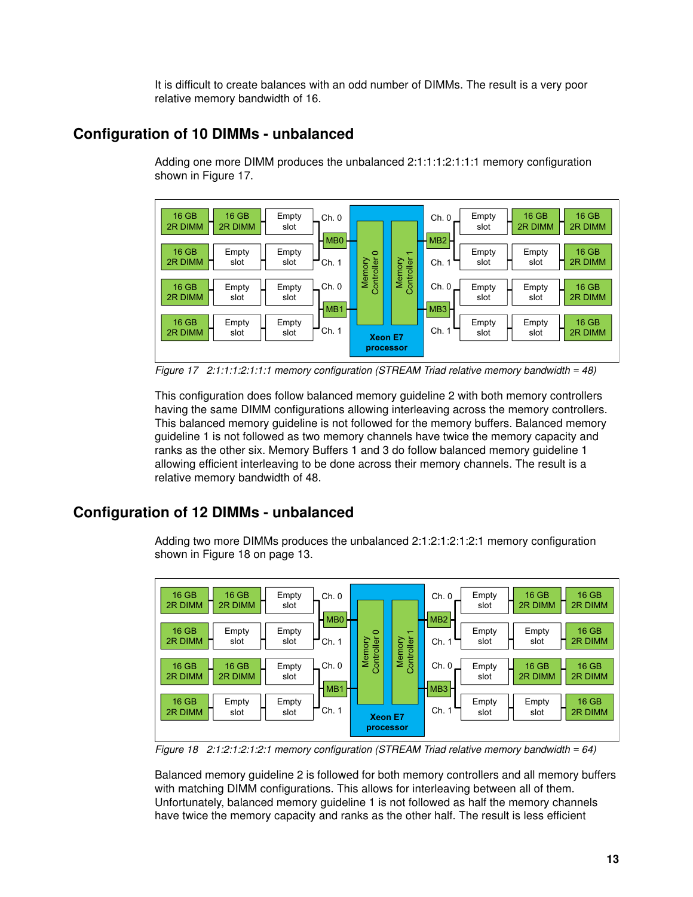It is difficult to create balances with an odd number of DIMMs. The result is a very poor relative memory bandwidth of 16.

#### **Configuration of 10 DIMMs - unbalanced**

Adding one more DIMM produces the unbalanced 2:1:1:1:2:1:1:1 memory configuration shown in [Figure 17](#page-12-0).



<span id="page-12-0"></span>*Figure 17 2:1:1:1:2:1:1:1 memory configuration (STREAM Triad relative memory bandwidth = 48)*

This configuration does follow balanced memory guideline 2 with both memory controllers having the same DIMM configurations allowing interleaving across the memory controllers. This balanced memory guideline is not followed for the memory buffers. Balanced memory guideline 1 is not followed as two memory channels have twice the memory capacity and ranks as the other six. Memory Buffers 1 and 3 do follow balanced memory guideline 1 allowing efficient interleaving to be done across their memory channels. The result is a relative memory bandwidth of 48.

#### **Configuration of 12 DIMMs - unbalanced**

Adding two more DIMMs produces the unbalanced 2:1:2:1:2:1:2:1 memory configuration shown in [Figure 18 on page 13](#page-12-1).



<span id="page-12-1"></span>*Figure 18 2:1:2:1:2:1:2:1 memory configuration (STREAM Triad relative memory bandwidth = 64)*

Balanced memory guideline 2 is followed for both memory controllers and all memory buffers with matching DIMM configurations. This allows for interleaving between all of them. Unfortunately, balanced memory guideline 1 is not followed as half the memory channels have twice the memory capacity and ranks as the other half. The result is less efficient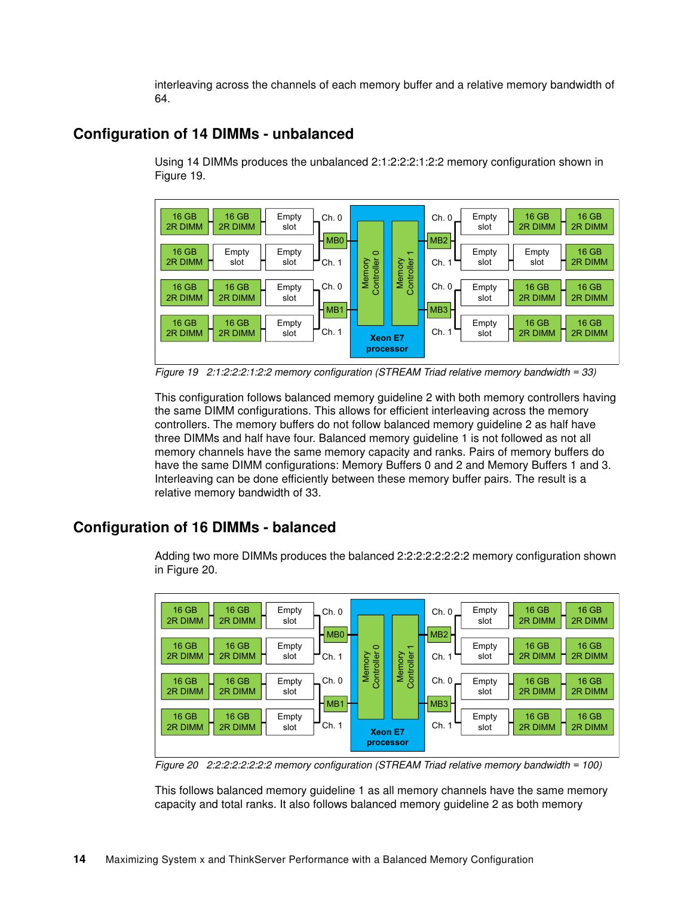interleaving across the channels of each memory buffer and a relative memory bandwidth of 64.

#### **Configuration of 14 DIMMs - unbalanced**

Using 14 DIMMs produces the unbalanced 2:1:2:2:2:1:2:2 memory configuration shown in [Figure 19](#page-13-0).



<span id="page-13-0"></span>*Figure 19 2:1:2:2:2:1:2:2 memory configuration (STREAM Triad relative memory bandwidth = 33)*

This configuration follows balanced memory guideline 2 with both memory controllers having the same DIMM configurations. This allows for efficient interleaving across the memory controllers. The memory buffers do not follow balanced memory guideline 2 as half have three DIMMs and half have four. Balanced memory guideline 1 is not followed as not all memory channels have the same memory capacity and ranks. Pairs of memory buffers do have the same DIMM configurations: Memory Buffers 0 and 2 and Memory Buffers 1 and 3. Interleaving can be done efficiently between these memory buffer pairs. The result is a relative memory bandwidth of 33.

#### **Configuration of 16 DIMMs - balanced**

Adding two more DIMMs produces the balanced 2:2:2:2:2:2:2:2 memory configuration shown in [Figure 20.](#page-13-1)



<span id="page-13-1"></span>*Figure 20 2:2:2:2:2:2:2:2 memory configuration (STREAM Triad relative memory bandwidth = 100)*

This follows balanced memory guideline 1 as all memory channels have the same memory capacity and total ranks. It also follows balanced memory guideline 2 as both memory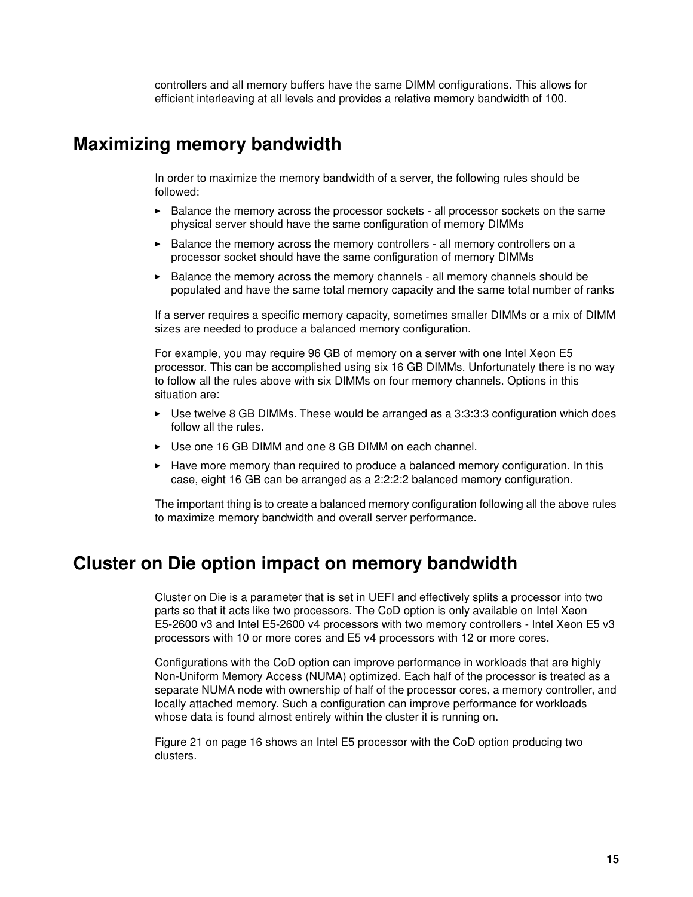controllers and all memory buffers have the same DIMM configurations. This allows for efficient interleaving at all levels and provides a relative memory bandwidth of 100.

## <span id="page-14-0"></span>**Maximizing memory bandwidth**

In order to maximize the memory bandwidth of a server, the following rules should be followed:

- **Example 1** Balance the memory across the processor sockets all processor sockets on the same physical server should have the same configuration of memory DIMMs
- Balance the memory across the memory controllers all memory controllers on a processor socket should have the same configuration of memory DIMMs
- Balance the memory across the memory channels all memory channels should be populated and have the same total memory capacity and the same total number of ranks

If a server requires a specific memory capacity, sometimes smaller DIMMs or a mix of DIMM sizes are needed to produce a balanced memory configuration.

For example, you may require 96 GB of memory on a server with one Intel Xeon E5 processor. This can be accomplished using six 16 GB DIMMs. Unfortunately there is no way to follow all the rules above with six DIMMs on four memory channels. Options in this situation are:

- ► Use twelve 8 GB DIMMs. These would be arranged as a 3:3:3:3 configuration which does follow all the rules.
- Use one 16 GB DIMM and one 8 GB DIMM on each channel.
- Have more memory than required to produce a balanced memory configuration. In this case, eight 16 GB can be arranged as a 2:2:2:2 balanced memory configuration.

The important thing is to create a balanced memory configuration following all the above rules to maximize memory bandwidth and overall server performance.

#### <span id="page-14-1"></span>**Cluster on Die option impact on memory bandwidth**

Cluster on Die is a parameter that is set in UEFI and effectively splits a processor into two parts so that it acts like two processors. The CoD option is only available on Intel Xeon E5-2600 v3 and Intel E5-2600 v4 processors with two memory controllers - Intel Xeon E5 v3 processors with 10 or more cores and E5 v4 processors with 12 or more cores.

Configurations with the CoD option can improve performance in workloads that are highly Non-Uniform Memory Access (NUMA) optimized. Each half of the processor is treated as a separate NUMA node with ownership of half of the processor cores, a memory controller, and locally attached memory. Such a configuration can improve performance for workloads whose data is found almost entirely within the cluster it is running on.

[Figure 21 on page 16](#page-15-2) shows an Intel E5 processor with the CoD option producing two clusters.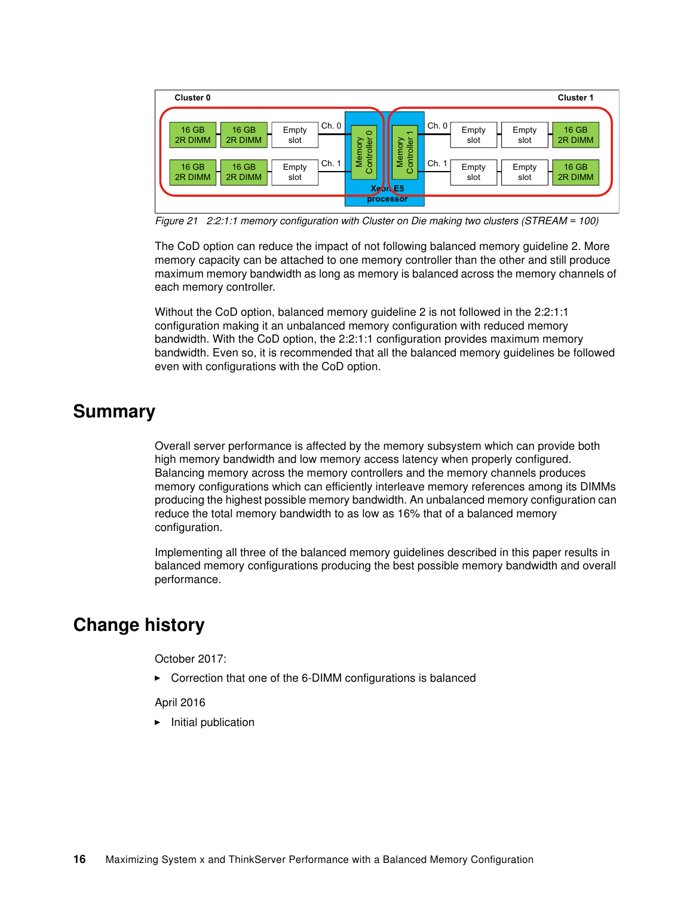

<span id="page-15-2"></span>*Figure 21 2:2:1:1 memory configuration with Cluster on Die making two clusters (STREAM = 100)*

The CoD option can reduce the impact of not following balanced memory guideline 2. More memory capacity can be attached to one memory controller than the other and still produce maximum memory bandwidth as long as memory is balanced across the memory channels of each memory controller.

Without the CoD option, balanced memory guideline 2 is not followed in the 2:2:1:1 configuration making it an unbalanced memory configuration with reduced memory bandwidth. With the CoD option, the 2:2:1:1 configuration provides maximum memory bandwidth. Even so, it is recommended that all the balanced memory guidelines be followed even with configurations with the CoD option.

## <span id="page-15-0"></span>**Summary**

Overall server performance is affected by the memory subsystem which can provide both high memory bandwidth and low memory access latency when properly configured. Balancing memory across the memory controllers and the memory channels produces memory configurations which can efficiently interleave memory references among its DIMMs producing the highest possible memory bandwidth. An unbalanced memory configuration can reduce the total memory bandwidth to as low as 16% that of a balanced memory configuration.

Implementing all three of the balanced memory guidelines described in this paper results in balanced memory configurations producing the best possible memory bandwidth and overall performance.

## <span id="page-15-1"></span>**Change history**

October 2017:

► Correction that one of the 6-DIMM configurations is balanced

April 2016

**F** Initial publication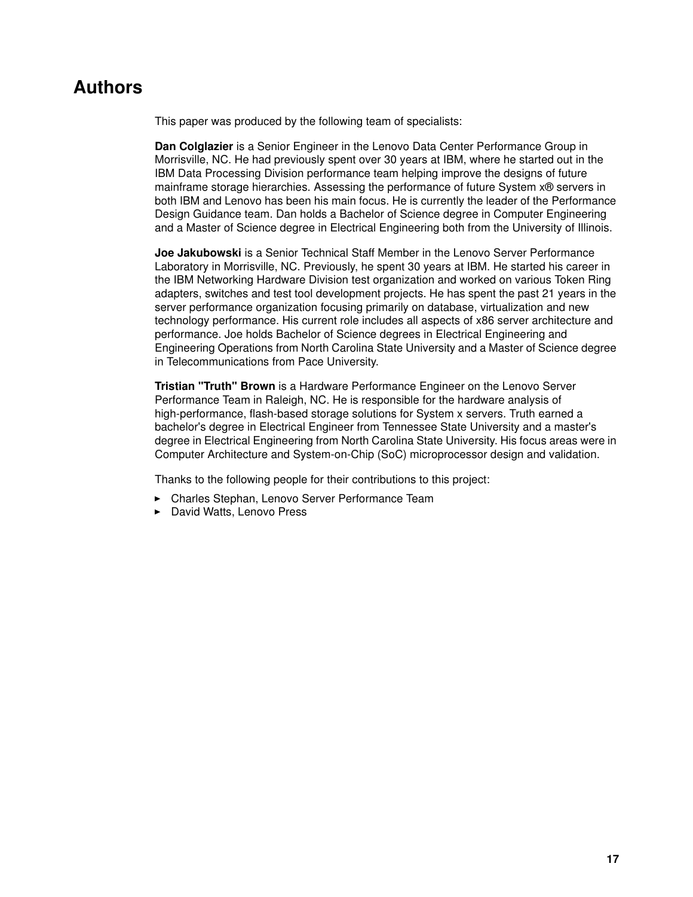## <span id="page-16-0"></span>**Authors**

This paper was produced by the following team of specialists:

**Dan Colglazier** is a Senior Engineer in the Lenovo Data Center Performance Group in Morrisville, NC. He had previously spent over 30 years at IBM, where he started out in the IBM Data Processing Division performance team helping improve the designs of future mainframe storage hierarchies. Assessing the performance of future System x® servers in both IBM and Lenovo has been his main focus. He is currently the leader of the Performance Design Guidance team. Dan holds a Bachelor of Science degree in Computer Engineering and a Master of Science degree in Electrical Engineering both from the University of Illinois.

**Joe Jakubowski** is a Senior Technical Staff Member in the Lenovo Server Performance Laboratory in Morrisville, NC. Previously, he spent 30 years at IBM. He started his career in the IBM Networking Hardware Division test organization and worked on various Token Ring adapters, switches and test tool development projects. He has spent the past 21 years in the server performance organization focusing primarily on database, virtualization and new technology performance. His current role includes all aspects of x86 server architecture and performance. Joe holds Bachelor of Science degrees in Electrical Engineering and Engineering Operations from North Carolina State University and a Master of Science degree in Telecommunications from Pace University.

**Tristian "Truth" Brown** is a Hardware Performance Engineer on the Lenovo Server Performance Team in Raleigh, NC. He is responsible for the hardware analysis of high-performance, flash-based storage solutions for System x servers. Truth earned a bachelor's degree in Electrical Engineer from Tennessee State University and a master's degree in Electrical Engineering from North Carolina State University. His focus areas were in Computer Architecture and System-on-Chip (SoC) microprocessor design and validation.

Thanks to the following people for their contributions to this project:

- Charles Stephan, Lenovo Server Performance Team
- David Watts, Lenovo Press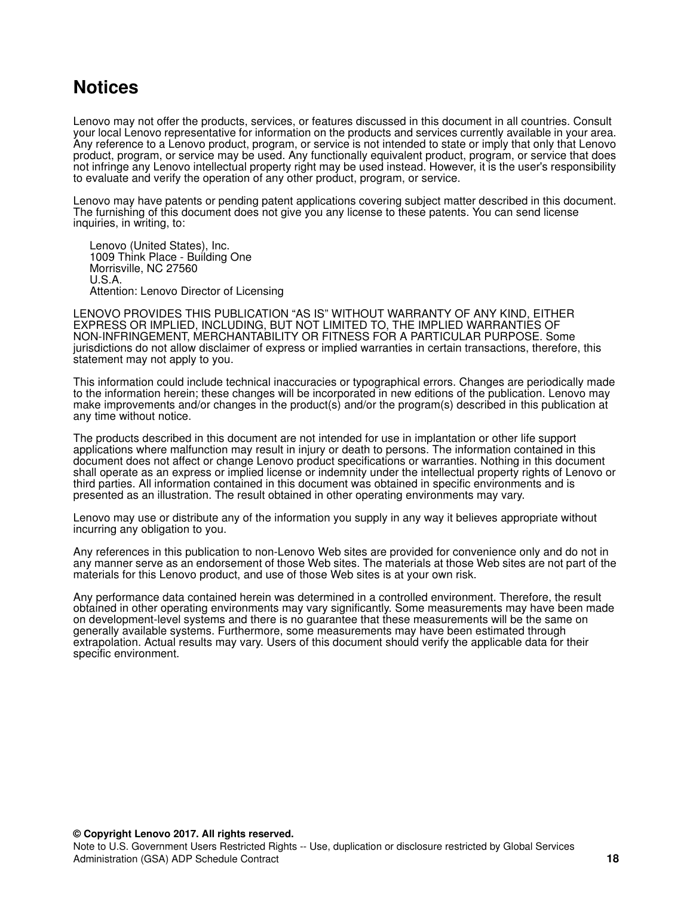## <span id="page-17-0"></span>**Notices**

Lenovo may not offer the products, services, or features discussed in this document in all countries. Consult your local Lenovo representative for information on the products and services currently available in your area. Any reference to a Lenovo product, program, or service is not intended to state or imply that only that Lenovo product, program, or service may be used. Any functionally equivalent product, program, or service that does not infringe any Lenovo intellectual property right may be used instead. However, it is the user's responsibility to evaluate and verify the operation of any other product, program, or service.

Lenovo may have patents or pending patent applications covering subject matter described in this document. The furnishing of this document does not give you any license to these patents. You can send license inquiries, in writing, to:

Lenovo (United States), Inc. 1009 Think Place - Building One Morrisville, NC 27560 U.S.A. Attention: Lenovo Director of Licensing

LENOVO PROVIDES THIS PUBLICATION "AS IS" WITHOUT WARRANTY OF ANY KIND, EITHER EXPRESS OR IMPLIED, INCLUDING, BUT NOT LIMITED TO, THE IMPLIED WARRANTIES OF NON-INFRINGEMENT, MERCHANTABILITY OR FITNESS FOR A PARTICULAR PURPOSE. Some jurisdictions do not allow disclaimer of express or implied warranties in certain transactions, therefore, this statement may not apply to you.

This information could include technical inaccuracies or typographical errors. Changes are periodically made to the information herein; these changes will be incorporated in new editions of the publication. Lenovo may make improvements and/or changes in the product(s) and/or the program(s) described in this publication at any time without notice.

The products described in this document are not intended for use in implantation or other life support applications where malfunction may result in injury or death to persons. The information contained in this document does not affect or change Lenovo product specifications or warranties. Nothing in this document shall operate as an express or implied license or indemnity under the intellectual property rights of Lenovo or third parties. All information contained in this document was obtained in specific environments and is presented as an illustration. The result obtained in other operating environments may vary.

Lenovo may use or distribute any of the information you supply in any way it believes appropriate without incurring any obligation to you.

Any references in this publication to non-Lenovo Web sites are provided for convenience only and do not in any manner serve as an endorsement of those Web sites. The materials at those Web sites are not part of the materials for this Lenovo product, and use of those Web sites is at your own risk.

Any performance data contained herein was determined in a controlled environment. Therefore, the result obtained in other operating environments may vary significantly. Some measurements may have been made on development-level systems and there is no guarantee that these measurements will be the same on generally available systems. Furthermore, some measurements may have been estimated through extrapolation. Actual results may vary. Users of this document should verify the applicable data for their specific environment.